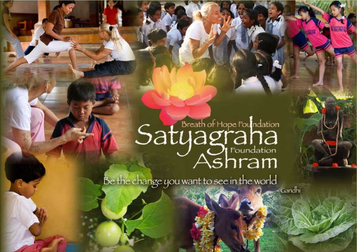## Satyagrahation

Be the change you want to see in the world

Gandhi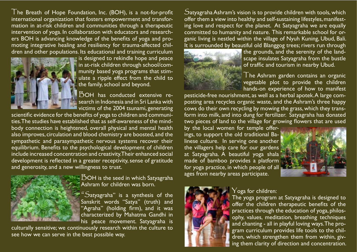The Breath of Hope Foundation, Inc. (BOH), is a not-for-profit international organization that fosters empowerment and transformation in at-risk children and communities through a therapeutic intervention of yoga. In collaboration with educators and researchers BOH is advancing knowledge of the benefits of yoga and promoting integrative healing and resiliency for trauma-affected children and other populations, Its educational and training curriculum



is designed to rekindle hope and peace in at-risk children through school/community based yoga programs that stimulate a ripple effect from the child to the family, school and beyond.

 $\overline{D}$ OH has conducted extensive research in Indonesia and in Sri Lanka with victims of the 2004 tsunami, generating

scientific evidence for the benefits of yoga to children and communities The studies have established that as self-awareness of the mindbody connection is heightened, overall physical and mental health also improves, circulation and blood chemistry are boosted, and the sympathetic and parasympathetic nervous systems recover their equilibrium. Benefits to the psychological development of children include increased concentration and creativity. Their enhanced social development is reflected in a greater receptivity, sense of gratitude and generosity, and a new willingness to trust.



 $\mathsf E\,\mathsf{SOH}$  is the seed in which Satyagraha Ashram for children was born.

 $S$ atyagraha" is a synthesis of the Sanskrit words "Satya" (truth) and "Agraha" (holding firm), and it was characterized by Mahatma Gandhi in his peace movement. Satyagraha is

culturally sensitive; we continuously research within the culture to see how we can serve in the best possible way.

 $S$ atyagraha Ashram's vision is to provide children with tools, which offer them a view into healthy and self-sustaining lifestyles, manifesting love and respect for the planet. At Satyagraha we are equally committed to humanity and nature. This remarkable school for organic living is nestled within the village of Nyuh Kuning, Ubud, Bali. It is surrounded by beautiful old Blanggog trees; rivers run through



the grounds, and the serenity of the landscape insulates Satyagraha from the bustle of traffic and tourism in nearby Ubud.

The Ashram garden contains an organic vegetable plot to provide the children hands-on experience of how to manifest

pesticide-free nourishment, as well as a herbal apotek. A large composting area recycles organic waste, and the Ashram's three happy cows do their own recycling by mowing the grass, which they transform into milk, and into dung for fertilizer. Satyagraha has donated two pieces of land to the village for growing flowers that are used

by the local women for temple offerings, to support the old traditional Balinese culture. In serving one another the villagers help care for our gardens at Satyagraha. A beautiful yoga shala made of bamboo provides a platform for yoga practice, in which people of all  $\frac{1}{2}$ ages from nearby areas participate.





## $\rm Y$ oga for children:

The yoga program at Satyagraha is designed to offer the children therapeutic benefits of the practices through the education of yoga, philosophy, values, meditation, breathing techniques and chanting - all in playful loving ways. The program curriculum provides life tools to the children, which strengthen them from within, giving them clarity of direction and concentration.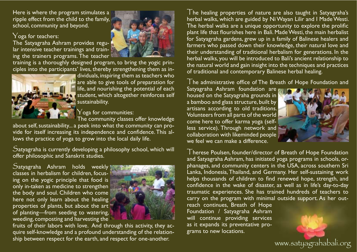Here is where the program stimulates a ripple effect from the child to the family, school, community and beyond.

## $\gamma$  oga for teachers:

The Satyagraha Ashram provides regular intensive teacher trainings and training the trainers programs. The teacher

training is a thoroughly designed program, to bring the yogic principles into the participants' lives, thereby strengthening them as in-



dividuals, inspiring them as teachers who are able to give tools of preparation for life, and nourishing the potential of each student, which altogether reinforces self sustainability.

## $\rm Y$ oga for communities:

The community classes offer knowledge

about self, sustainability... a peek into what the community can provide for itself increasing its independence and confidence. This allows the practice of yoga to grow into the local daily life.

 $S$ atyagraha is currently developing a philosophy school, which will offer philosophic and Sanskrit studies.

Satyagraha Ashram holds weekly classes in herbalism for children, focusing on the yogic principle that food is only in-taken as medicine to strengthen the body and soul. Children who come here not only learn about the healing properties of plants, but about the art of planting-from seeding to watering, weeding, composting and harvesting the



fruits of their labors with love. And through this activity, they acquire self-knowledge and a profound understanding of the relationship between respect for the earth, and respect for one-another.

The healing properties of nature are also taught in Satyagraha's herbal walks, which are guided by Ni Wayan Lilir and I Made Westi. The herbal walks are a unique opportunity to explore the prolific plant life that flourishes here in Bali. Made Westi, the main herbalist for Satyagraha gardens, grew up in a family of Balinese healers and farmers who passed down their knowledge, their natural love and their understanding of traditional herbalism for generations. In the herbal walks, you will be introduced to Bali's ancient relationship to the natural world and gain insight into the techniques and practices of traditional and contemporary Balinese herbal healing.

The administrative office of The Breath of Hope Foundation and

Satyagraha Ashram foundation are housed on the Satyagraha grounds in a bamboo and glass structure, built by artisans according to old traditions. Volunteers from all parts of the world come here to offer karma yoga (selfless service). Through network and collaboration with likeminded people we feel we can make a difference



www.satyagrahabali.org

Therese Poulsen, founder/director of Breath of Hope Foundation and Satyagraha Ashram, has initiated yoga programs in schools, orphanages, and community centers in the USA, across southern Sri Lanka, Indonesia, Thailand, and Germany. Her self-sustaining work helps thousands of children to find renewed hope, strength, and confidence in the wake of disaster, as well as in life's day-to-day traumatic experiences. She has trained hundreds of teachers to carry on the program with minimal outside support. As her out-

reach continues, Breath of Hope Foundation / Satyagraha Ashram will continue providing services as it expands its preventative programs to new locations.